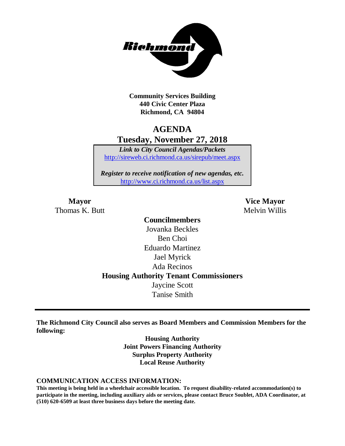

**Community Services Building 440 Civic Center Plaza Richmond, CA 94804**

# **AGENDA Tuesday, November 27, 2018**

*Link to City Council Agendas/Packets* <http://sireweb.ci.richmond.ca.us/sirepub/meet.aspx>

*Register to receive notification of new agendas, etc.* <http://www.ci.richmond.ca.us/list.aspx>

Thomas K. Butt Melvin Willis

**Mayor Vice Mayor**

**Councilmembers** Jovanka Beckles Ben Choi Eduardo Martinez Jael Myrick Ada Recinos **Housing Authority Tenant Commissioners** Jaycine Scott Tanise Smith

**The Richmond City Council also serves as Board Members and Commission Members for the following:**

> **Housing Authority Joint Powers Financing Authority Surplus Property Authority Local Reuse Authority**

#### **COMMUNICATION ACCESS INFORMATION:**

**This meeting is being held in a wheelchair accessible location. To request disability-related accommodation(s) to participate in the meeting, including auxiliary aids or services, please contact Bruce Soublet, ADA Coordinator, at (510) 620-6509 at least three business days before the meeting date.**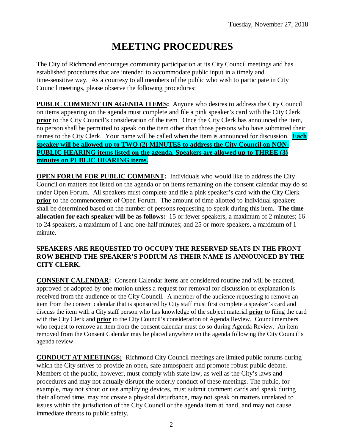# **MEETING PROCEDURES**

The City of Richmond encourages community participation at its City Council meetings and has established procedures that are intended to accommodate public input in a timely and time-sensitive way. As a courtesy to all members of the public who wish to participate in City Council meetings, please observe the following procedures:

**PUBLIC COMMENT ON AGENDA ITEMS:** Anyone who desires to address the City Council on items appearing on the agenda must complete and file a pink speaker's card with the City Clerk **prior** to the City Council's consideration of the item. Once the City Clerk has announced the item, no person shall be permitted to speak on the item other than those persons who have submitted their names to the City Clerk. Your name will be called when the item is announced for discussion. **Each speaker will be allowed up to TWO (2) MINUTES to address the City Council on NON-PUBLIC HEARING items listed on the agenda. Speakers are allowed up to THREE (3) minutes on PUBLIC HEARING items.**

**OPEN FORUM FOR PUBLIC COMMENT:** Individuals who would like to address the City Council on matters not listed on the agenda or on items remaining on the consent calendar may do so under Open Forum. All speakers must complete and file a pink speaker's card with the City Clerk **prior** to the commencement of Open Forum. The amount of time allotted to individual speakers shall be determined based on the number of persons requesting to speak during this item. **The time allocation for each speaker will be as follows:** 15 or fewer speakers, a maximum of 2 minutes; 16 to 24 speakers, a maximum of 1 and one-half minutes; and 25 or more speakers, a maximum of 1 minute.

#### **SPEAKERS ARE REQUESTED TO OCCUPY THE RESERVED SEATS IN THE FRONT ROW BEHIND THE SPEAKER'S PODIUM AS THEIR NAME IS ANNOUNCED BY THE CITY CLERK.**

**CONSENT CALENDAR:** Consent Calendar items are considered routine and will be enacted, approved or adopted by one motion unless a request for removal for discussion or explanation is received from the audience or the City Council. A member of the audience requesting to remove an item from the consent calendar that is sponsored by City staff must first complete a speaker's card and discuss the item with a City staff person who has knowledge of the subject material **prior** to filing the card with the City Clerk and **prior** to the City Council's consideration of Agenda Review. Councilmembers who request to remove an item from the consent calendar must do so during Agenda Review. An item removed from the Consent Calendar may be placed anywhere on the agenda following the City Council's agenda review.

**CONDUCT AT MEETINGS:** Richmond City Council meetings are limited public forums during which the City strives to provide an open, safe atmosphere and promote robust public debate. Members of the public, however, must comply with state law, as well as the City's laws and procedures and may not actually disrupt the orderly conduct of these meetings. The public, for example, may not shout or use amplifying devices, must submit comment cards and speak during their allotted time, may not create a physical disturbance, may not speak on matters unrelated to issues within the jurisdiction of the City Council or the agenda item at hand, and may not cause immediate threats to public safety.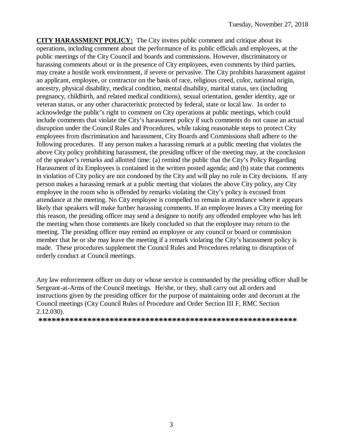**CITY HARASSMENT POLICY:** The City invites public comment and critique about its operations, including comment about the performance of its public officials and employees, at the public meetings of the City Council and boards and commissions. However, discriminatory or harassing comments about or in the presence of City employees, even comments by third parties, may create a hostile work environment, if severe or pervasive. The City prohibits harassment against an applicant, employee, or contractor on the basis of race, religious creed, color, national origin, ancestry, physical disability, medical condition, mental disability, marital status, sex (including pregnancy, childbirth, and related medical conditions), sexual orientation, gender identity, age or veteran status, or any other characteristic protected by federal, state or local law. In order to acknowledge the public's right to comment on City operations at public meetings, which could include comments that violate the City's harassment policy if such comments do not cause an actual disruption under the Council Rules and Procedures, while taking reasonable steps to protect City employees from discrimination and harassment, City Boards and Commissions shall adhere to the following procedures. If any person makes a harassing remark at a public meeting that violates the above City policy prohibiting harassment, the presiding officer of the meeting may, at the conclusion of the speaker's remarks and allotted time: (a) remind the public that the City's Policy Regarding Harassment of its Employees is contained in the written posted agenda; and (b) state that comments in violation of City policy are not condoned by the City and will play no role in City decisions. If any person makes a harassing remark at a public meeting that violates the above City policy, any City employee in the room who is offended by remarks violating the City's policy is excused from attendance at the meeting. No City employee is compelled to remain in attendance where it appears likely that speakers will make further harassing comments. If an employee leaves a City meeting for this reason, the presiding officer may send a designee to notify any offended employee who has left the meeting when those comments are likely concluded so that the employee may return to the meeting. The presiding officer may remind an employee or any council or board or commission member that he or she may leave the meeting if a remark violating the City's harassment policy is made. These procedures supplement the Council Rules and Procedures relating to disruption of orderly conduct at Council meetings.

Any law enforcement officer on duty or whose service is commanded by the presiding officer shall be Sergeant-at-Arms of the Council meetings. He/she, or they, shall carry out all orders and instructions given by the presiding officer for the purpose of maintaining order and decorum at the Council meetings (City Council Rules of Procedure and Order Section III F, RMC Section 2.12.030).

**\*\*\*\*\*\*\*\*\*\*\*\*\*\*\*\*\*\*\*\*\*\*\*\*\*\*\*\*\*\*\*\*\*\*\*\*\*\*\*\*\*\*\*\*\*\*\*\*\*\*\*\*\*\*\*\*\*\***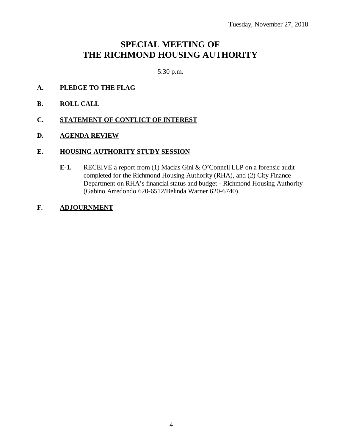# **SPECIAL MEETING OF THE RICHMOND HOUSING AUTHORITY**

5:30 p.m.

- **A. PLEDGE TO THE FLAG**
- **B. ROLL CALL**
- **C. STATEMENT OF CONFLICT OF INTEREST**
- **D. AGENDA REVIEW**

#### **E. HOUSING AUTHORITY STUDY SESSION**

- **E-1.** RECEIVE a report from (1) Macias Gini & O'Connell LLP on a forensic audit completed for the Richmond Housing Authority (RHA), and (2) City Finance Department on RHA's financial status and budget - Richmond Housing Authority (Gabino Arredondo 620-6512/Belinda Warner 620-6740).
- **F. ADJOURNMENT**